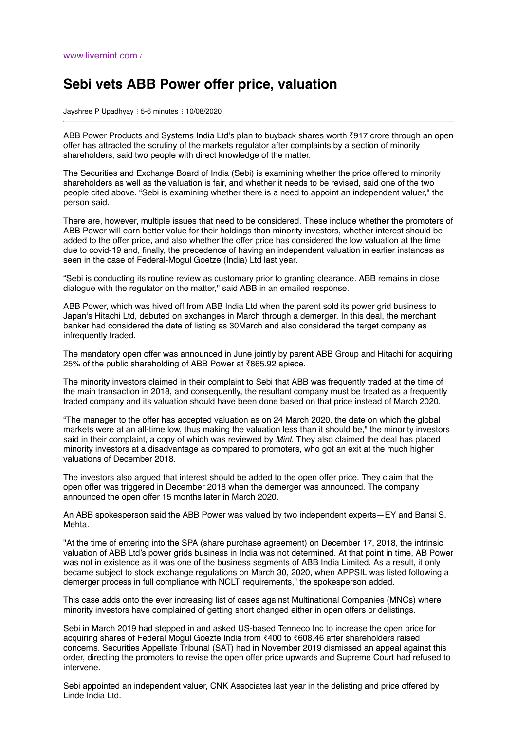## **Sebi vets ABB Power offer price, valuation**

Jayshree P Upadhyay : 5-6 minutes : 10/08/2020

ABB Power Products and Systems India Ltd's plan to buyback shares worth ₹917 crore through an open offer has attracted the scrutiny of the markets regulator after complaints by a section of minority shareholders, said two people with direct knowledge of the matter.

The Securities and Exchange Board of India (Sebi) is examining whether the price offered to minority shareholders as well as the valuation is fair, and whether it needs to be revised, said one of the two people cited above. "Sebi is examining whether there is a need to appoint an independent valuer," the person said.

There are, however, multiple issues that need to be considered. These include whether the promoters of ABB Power will earn better value for their holdings than minority investors, whether interest should be added to the offer price, and also whether the offer price has considered the low valuation at the time due to covid-19 and, finally, the precedence of having an independent valuation in earlier instances as seen in the case of Federal-Mogul Goetze (India) Ltd last year.

"Sebi is conducting its routine review as customary prior to granting clearance. ABB remains in close dialogue with the regulator on the matter," said ABB in an emailed response.

ABB Power, which was hived off from ABB India Ltd when the parent sold its power grid business to Japan's Hitachi Ltd, debuted on exchanges in March through a demerger. In this deal, the merchant banker had considered the date of listing as 30March and also considered the target company as infrequently traded.

The mandatory open offer was announced in June jointly by parent ABB Group and Hitachi for acquiring 25% of the public shareholding of ABB Power at ₹865.92 apiece.

The minority investors claimed in their complaint to Sebi that ABB was frequently traded at the time of the main transaction in 2018, and consequently, the resultant company must be treated as a frequently traded company and its valuation should have been done based on that price instead of March 2020.

"The manager to the offer has accepted valuation as on 24 March 2020, the date on which the global markets were at an all-time low, thus making the valuation less than it should be," the minority investors said in their complaint, a copy of which was reviewed by *Mint*. They also claimed the deal has placed minority investors at a disadvantage as compared to promoters, who got an exit at the much higher valuations of December 2018.

The investors also argued that interest should be added to the open offer price. They claim that the open offer was triggered in December 2018 when the demerger was announced. The company announced the open offer 15 months later in March 2020.

An ABB spokesperson said the ABB Power was valued by two independent experts—EY and Bansi S. Mehta.

"At the time of entering into the SPA (share purchase agreement) on December 17, 2018, the intrinsic valuation of ABB Ltd's power grids business in India was not determined. At that point in time, AB Power was not in existence as it was one of the business segments of ABB India Limited. As a result, it only became subject to stock exchange regulations on March 30, 2020, when APPSIL was listed following a demerger process in full compliance with NCLT requirements," the spokesperson added.

This case adds onto the ever increasing list of cases against Multinational Companies (MNCs) where minority investors have complained of getting short changed either in open offers or delistings.

Sebi in March 2019 had stepped in and asked US-based Tenneco Inc to increase the open price for acquiring shares of Federal Mogul Goezte India from ₹400 to ₹608.46 after shareholders raised concerns. Securities Appellate Tribunal (SAT) had in November 2019 dismissed an appeal against this order, directing the promoters to revise the open offer price upwards and Supreme Court had refused to intervene.

Sebi appointed an independent valuer, CNK Associates last year in the delisting and price offered by Linde India Ltd.